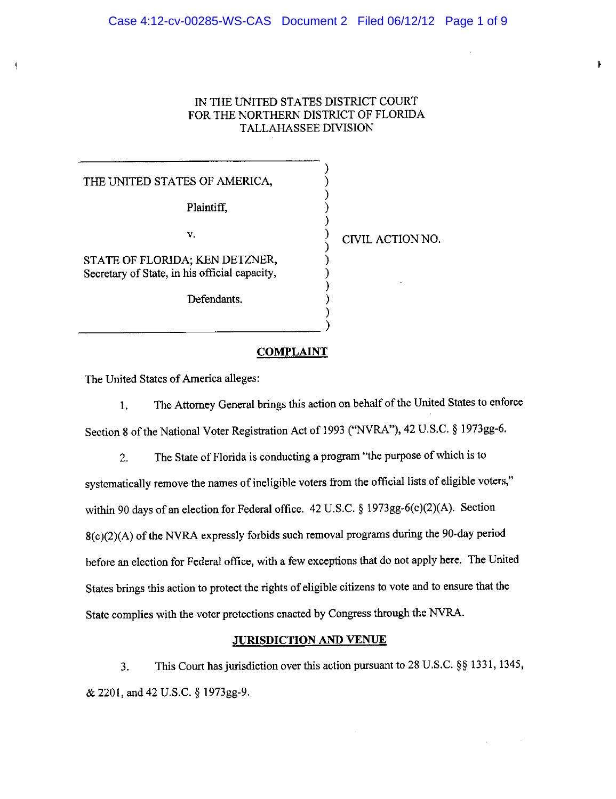# IN THE UNITED STATES DISTRICT COURT FOR THE NORTHERN DISTRICT OF FLORIDA TALLAHASSEE DIVISION

THE UNITED STATES OF AMERICA, ') Plaintiff, ) )<br>) v.  $\qquad \qquad \text{CIVIL }$  ACTION NO. )<br>) STATE OF FLORIDA; KEN DETZNER,<br>Secretary of State, in his official capacity, Secretary of State, in his official capacity, ) Defendants. )

## **COMPLAINT**

)

The United States of America alleges:

1. The Attorney General brings this action on behalf of the United States to enforce Section 8 of the National Voter Registration Act of 1993 ("NVRA"), 42 U.S.C. § 1973gg-6.

2. The State of Florida is conducting a program '"the purpose of which is to systematically remove the names of ineligible voters from the official lists of eligible voters," within 90 days of an election for Federal office. 42 U.S.C. § 1973gg-6(c)(2)(A). Section  $8(c)(2)(A)$  of the NVRA expressly forbids such removal programs during the 90-day period before an election for Federal office, with a few exceptions that do not apply here, The United States brings this action to protect the rights of eligible citizens to vote and to ensure that the State complies with the voter protections enacted by Congress through the NVRA.

### JURISDICTION AND VENUE

3. This Court has jurisdiction over this action pursuant to 28 U.S.C. §§ 1331, 1345, &2201,and42 U.S.C. \$ l973gg-9.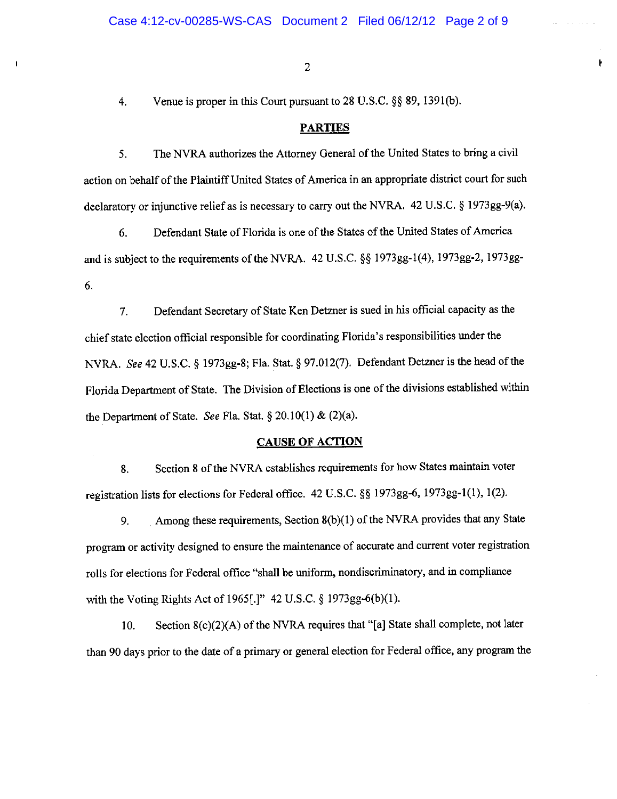4. Venue is proper in this Court pursuant to 28 U.S.C. \$\$ 89, 1391(b).

### PARTIES

ŀ

5. The NVRA authorizes the Attorney General of the United States to bring a civil action on behalf of the PlaintiffUnited States of America in an appropriate district court for such declaratory or injunctive relief as is necessary to carry out the NVRA. 42 U.S.C. § 1973gg-9(a).

6. Defendant State of Florida is one of the States of the United States of America and is subject to the requirements of the NVRA. 42 U.S.C. §§ 1973gg-1(4), 1973gg-2, 1973gg-6.

7. Defendant Secretary of State Ken Detzner is sued in his official capacity as the chief state election oflicial responsible for coordinating Florida's responsibilities under the NVRA. See 42 U.S.C. § 1973gg-8; Fla. Stat. § 97.012(7). Defendant Detzner is the head of the Florida Department of State. The Division of Elections is one of the divisions established within the Department of State. See Fla. Stat.  $\S 20.10(1) \& (2)(a)$ .

#### CAUSE OF ACTION

8. Section 8 of the NVRA establishes requirements for how States maintain voter registration lists for elections for Federal office. 42 U.S.C. §§ 1973gg-6, 1973gg-1(1), 1(2).

9. Among these requirements, Section  $8(b)(1)$  of the NVRA provides that any State program or activity designed to ensure the maintenance of accurate and current voter registration rolls for elections for Federal office "shall be uniform, nondiscriminatory, and in compliance with the Voting Rights Act of 1965. [1] 42 U.S.C.  $\S$  1973gg-6(b)(1).

10. Section  $8(c)(2)(A)$  of the NVRA requires that "[a] State shall complete, not later than 90 days prior to the date of a primary or general election for Federal office, any program the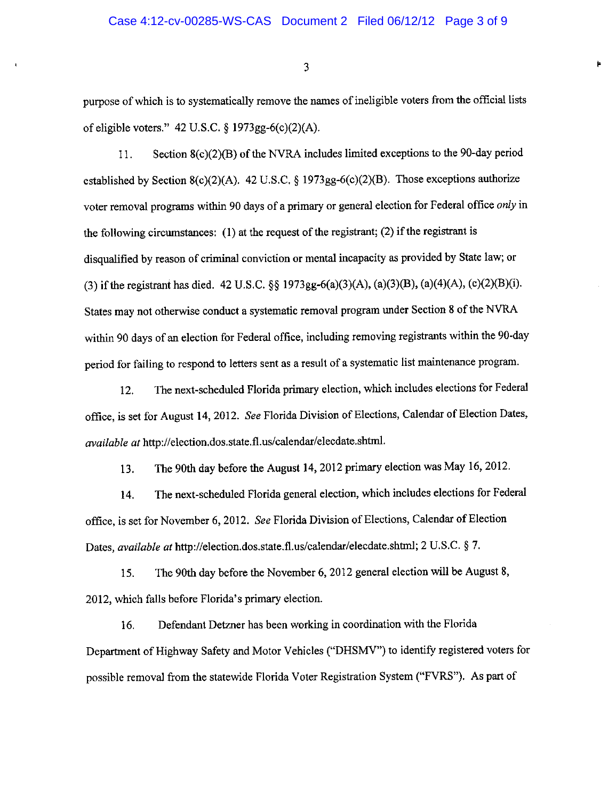purpose of which is to systematically remove the names of ineligible voters from the official lists of eligible voters." 42 U.S.C. \$ l973gg-6(c)(2)(A).

11. Section 8(c)(2)@) of the NVRA includes limited exceptiors to the 90-day period established by Section 8(c)(2)(A). 42 U.S.C.  $\S$  1973gg-6(c)(2)(B). Those exceptions authorize voter removal programs within 90 days of a primary or general election for Federal office only in the following circumstances: (1) at the request of the registrant; (2) if the registrant is disqualified by reason of criminal conviction or mental incapacity as provided by State law; or (3) if the registrant has died. 42 U.S.C. §§ 1973gg-6(a)(3)(A), (a)(3)(B), (a)(4)(A), (c)(2)(B)(i). States may not otherwise conduct a systematic removal program under Section 8 of the NVRA within 90 days of an election for Federal office, including removing registrants within the 90-day period for failing to respond to letters sent as a result of a systematic list maintenance program.

12, The next-scheduled Florida primary election, which includes elections for Federal office, is set for August 14, 2012. See Florida Division of Elections, Calendar of Election Dates, available at http://election.dos.state.fl.us/calendar/elecdate.shtml.

13. The 90th day before the August 14,2012 pimary election was May 16,2012,

14. The next-scheduled Florida general election, which includes elections for Federal office, is set for November 6,2012. See Florida Division of Elections, Calendar of Election Dates, available at http://election.dos.state.fl.us/calendar/elecdate.shtml; 2 U.S.C. § 7.

15. The 90th day before the November 6, 2012 general election will be August 8, 2012, which falls before Florida's primary election.

16. Defendant Detzner has been working in coordination with the Florida Department of Highway Safety and Motor Vehicles ("DHSMV") to identify registered voters for possible removal from the statewide Florida Voter Registration System ("FVRS"). As part of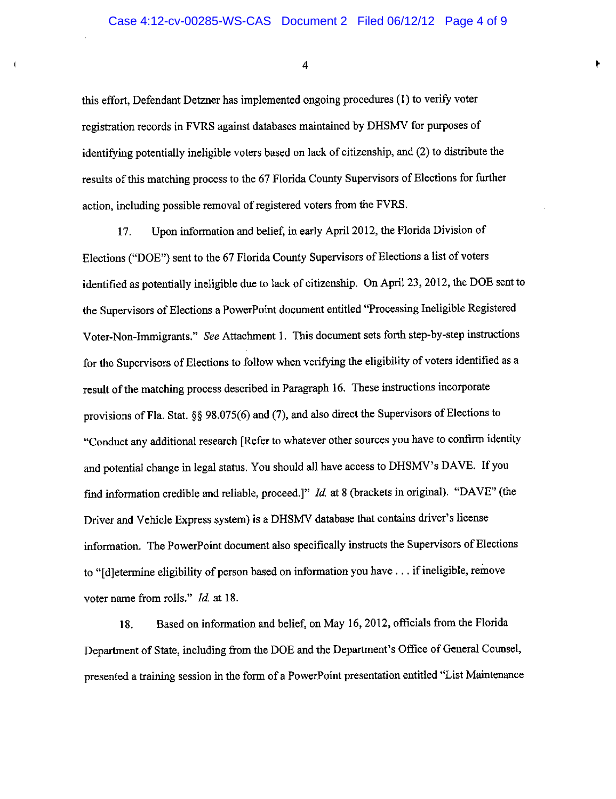$\overline{4}$ 

þ

this effiort, Defendant Detzner has implemented ongoing procedures (1) to veriry voter registation records in FVRS against databases maintained by DHSMV for purposes of identifying potentially ineligible voters based on lack of citizenship, and (2) to distribute the results of this matching process to the 67 Florida County Supervisors of Elections for further action, including possible removal of registered voters from the FVRS.

17. Upon information and belief, in early April 2012, the Florida Division of Elections ("DOE") sent to the 67 Florida County Supervisors of Elections a list of voters identified as potentially ineligible due to lack of citizenship. On April 23, 2012, the DOE sent to the Supervisors of Elections a PowerPoint document entitled "Processing Ineligible Registered Voter-Non-Immigrants." See Attachment 1. This document sets forth step-by-step instructions for the Supervisors of Elections to follow when verifying the eligibility of voters identified as a result of the matching process described in Paragraph 16. These instructions incorporate provisions of Fla. Stat.  $\S$ § 98.075(6) and (7), and also direct the Supervisors of Elections to "Conduct any additional research [Refer to whatever other sources you have to confirm identity and potential change in legal status. You should all have access to DHSMV's DAVE. If you find information credible and reliable, proceed.]"  $Id$  at 8 (brackets in original). "DAVE" (the Driver and Vehicle Express system) is a DHSMV database that contains driver's license information. The PowerPoint document also specifically instructs the Supervisors of Elections to "[d]etermine eligibility of person based on information you have ... if ineligible, remove voter name from rolls." Id. at 18.

18. Based on information and belief, on May 16, 2012, officials from the Florida Department of State, including from the DOE and the Department's Office of General Counsel, presented a training session in the form of a PowerPoint presentation entitled "List Maintenance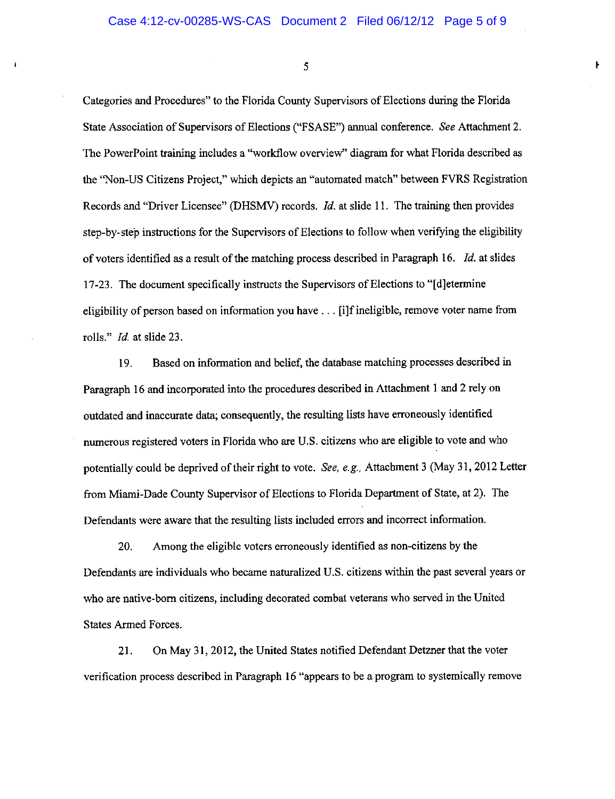H

Categories and Procedures" to the Florida County Supervisors of Elections during the Florida State Association of Supervisors of Elections ("FSASE") annual conference. See Attachment 2. The PowerPoint training includes a "workflow overview" diagram for what Florida described as the 'Non-US Citizens Project," which depicts an "automated match" between FVRS Registration Records and "Driver Licensee" (DHSMV) records. Id. at slide 11. The training then provides step-by-step instructions for the Supervisors of Elections to follow when verifying the eligibility of voters identified as a result of the matching process described in Paragraph 16,  $\overrightarrow{Id}$ , at slides 17-23. The document specifically instructs the Supervisors of Elections to "[d]etermine eligibility of person based on information you have  $\dots$  [i]f ineligible, remove voter name from rolls." Id. at slide 23.

19. Based on information and belief, the database matching processes described in Paragraph 16 and incorporated into the procedures described in Attachment 1 and 2 rely on outdated and inaccurate data; consequently, the resulting lists have erroneously identified numerous registered voters in Florida who are U.S. citizens who are eligible to vote and who potentially could be deprived of their right to vote. See, e.g., Attachment 3 (May 31, 2012 Letter from Miami-Dade County Supervisor of Elections to Florida Department of State, at 2). The Defendants were aware that the resultine lists included errors and incorrect information.

20. Among the eligible voters enoneously identified as non-citizens by the Defendants are individuals who became naturalized U.S. citizens within the past several years or who are native-bom oitizens, including decorated combat veterans who served in the United States Armed Forces.

21. On May 31, 2012, the United States notified Defendant Detzner that the voter verification process described in Paragraph 16 "appears to be a program to systemically remove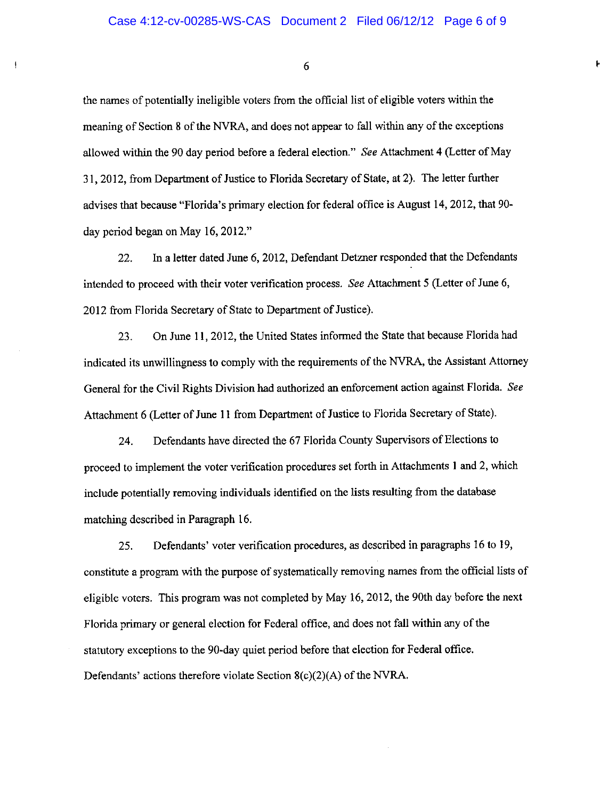o

Ł

the names of potentially ineligible voters from the official list of eligible voters within the meaning of Section 8 of the NVRA, and does not appear to fall within any of the exceptions allowed within the 90 day period before a federal election." See Attachment 4 (Letter of May 31, 2012, from Department of Justice to Florida Secretary of State, at 2). The letter further advises that because "Florida's primary election for federal office is August 14, 2012, that 90 day period began on May 16, 2012."

22. In a letter dated June 6,2012, Defendant Detzner responded that the Defendants intended to proceed with their voter verification process. See Attachment 5 (Letter of June 6, 2012 from Florida Secretary of State to Department of Justice).

23. On June 11, 2012, the United States informed the State that because Florida had indicated its unwillingness to comply with the requirements of the NVRA, the Assistant Attorney General for the Civil Rights Division had authorized an enforcement action against Floida. See Attachment 6 (Letter of June 11 from Department of Justice to Florida Secretary of State).

24. Defendants have directed the 67 Florida County Supervisors of Elections to proceed to implement the voter verification procedures set forth in Attachments I and 2, which include potentially removing individuals identified on the lists resulting from the database matching described in Paragraph 16.

25. Defendants' voter verification procedures, as described in paragraphs 16 to 19, constitute a program with the purpose of systematically removing names from the official lists of eligible voters. This program was not completed by May 16, 2012, the 90th day before the next Florida primary or general election for Federal office, and does not fall within any of the statutory exceptions to the 90-day quiet period before that election for Federal offrce. Defendants' actions therefore violate Section 8(c)(2)(A) of the NVRA.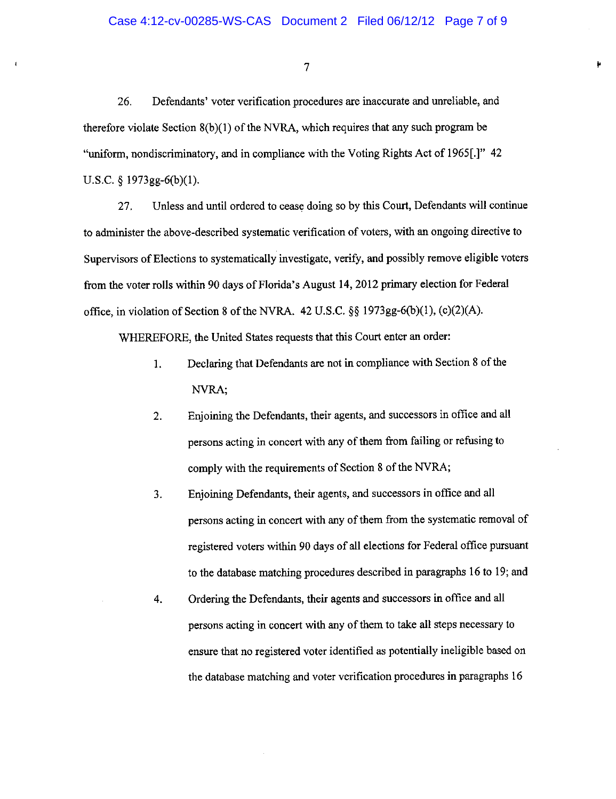I

þ

26. Defendants' voter verification procedures are inaccurate and unreliable, and therefore violate Section  $8(b)(1)$  of the NVRA, which requires that any such program be "uniform, nondiscriminatory, and in compliance with the Voting Rights Act of 1965[.]" 42  $U.S.C.$   $§$  1973gg-6(b)(1).

27, Unless and until ordered to cease doing so by this Court, Defendants will continue to administer the above-described systematic verification of voters, with an ongoing directive to Supervisors of Elections to systematically investigate, verify, and possibly remove eligible voters from the voter rolls within 90 days of Florida's August 14, 2012 primary election for Federal office, in violation of Section 8 of the NVRA. 42 U.S.C.  $\S$ § 1973gg-6(b)(1), (c)(2)(A).

WHEREFORE, the United States requests that this Court enter an order:

- 1. Declaring that Defendants are not in compliance with Section 8 of the NVRA;
- Enjoining the Defendants, their agents, and successors in office and all persons acting in concert with any of them from failing or refusing to comply with the requirements of Section 8 of the NVRA; 2.
- 3. Enjoining Defendants, their agents, and successors in office and all persons acting in concert with any of them from the systematic removal of registered voters within 90 days of all elections for Federal office pursuant to the database matching procedures described in paragraphs 16 to 19; and
- Ordering the Defendants, their agents and successors in office and all persons acting in concert with any of them to take all steps necessary to ensure that no registered voter identified as potentially ineligible based on the database matching and voter verification procedures in paragraphs 16 4.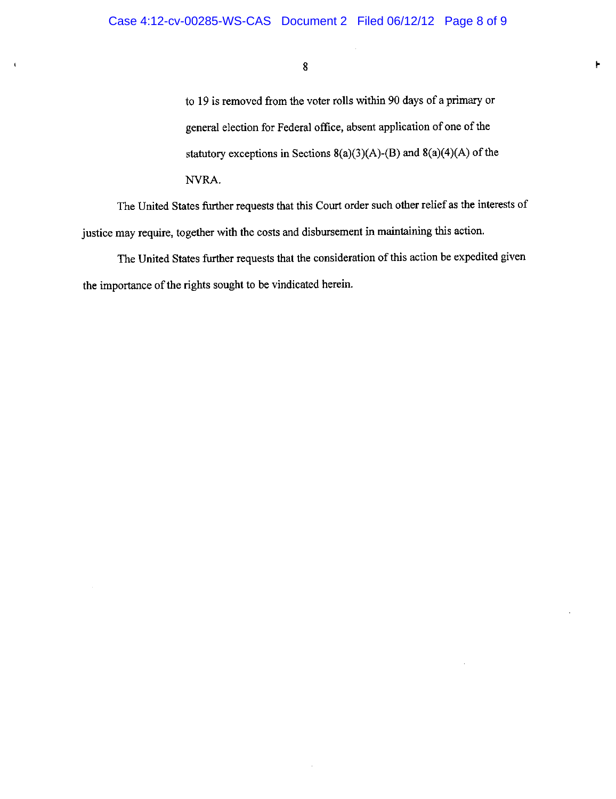to 19 is removed ftom the voter rolls within 90 days of a primary or general election for Federal office, absent application of one of the statutory exceptions in Sections  $8(a)(3)(A)-(B)$  and  $8(a)(4)(A)$  of the NVRA,

þ

The United States further requests that this Court order such other relief as the interests of justice may require, together with the costs and disbursement in maintaining this action.

The United States firther requests that the consideration of this action be expedited given the importance of the rights sought to be vindicated herein.